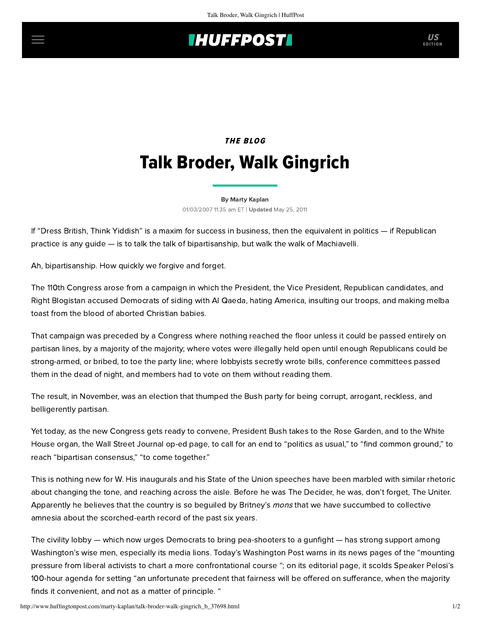## **IHUFFPOSTI** US

# THE BLOG Talk Broder, Walk Gingrich

#### [By Marty Kaplan](http://www.huffingtonpost.com/author/marty-kaplan) 01/03/2007 11:35 am ET | Updated May 25, 2011

If "Dress British, Think Yiddish" is a maxim for success in business, then the equivalent in politics — if Republican practice is any guide — is to talk the talk of bipartisanship, but walk the walk of Machiavelli.

Ah, bipartisanship. How quickly we forgive and forget.

The 110th Congress arose from a campaign in which the President, the Vice President, Republican candidates, and Right Blogistan accused Democrats of siding with Al Qaeda, hating America, insulting our troops, and making melba toast from the blood of aborted Christian babies.

That campaign was preceded by a Congress where nothing reached the floor unless it could be passed entirely on partisan lines, by a majority of the majority; where votes were illegally held open until enough Republicans could be strong-armed, or bribed, to toe the party line; where lobbyists secretly wrote bills, conference committees passed them in the dead of night, and members had to vote on them without reading them.

The result, in November, was an election that thumped the Bush party for being corrupt, arrogant, reckless, and belligerently partisan.

Yet today, as the new Congress gets ready to convene, President Bush takes to the Rose Garden, and to the White House organ, the Wall Street Journal [op-ed](http://opinionjournal.com/editorial/?id=110009473) page, to call for an end to "politics as usual," to "find common ground," to reach "bipartisan consensus," "to come together."

This is nothing new for W. His inaugurals and his State of the Union speeches have been marbled with similar rhetoric about changing the tone, and reaching across the aisle. Before he was The Decider, he was, don't forget, The Uniter. Apparently he believes that the country is so beguiled by Britney's mons that we have succumbed to collective amnesia about the scorched-earth record of the past six years.

The civility lobby — which now urges Democrats to bring pea-shooters to a gunfight — has strong support among Washington's wise men, especially its media lions. Today's Washington Post warns in its [news](http://letters.washingtonpost.com/W0RH0211810750A13F37F33329D070) pages of the "mounting pressure from liberal activists to chart a more confrontational course "; on its [editorial p](http://www.washingtonpost.com/wp-dyn/content/article/2007/01/02/AR2007010200931.html?referrer=email)age, it scolds Speaker Pelosi's 100-hour agenda for setting "an unfortunate precedent that fairness will be offered on sufferance, when the majority finds it convenient, and not as a matter of principle. "